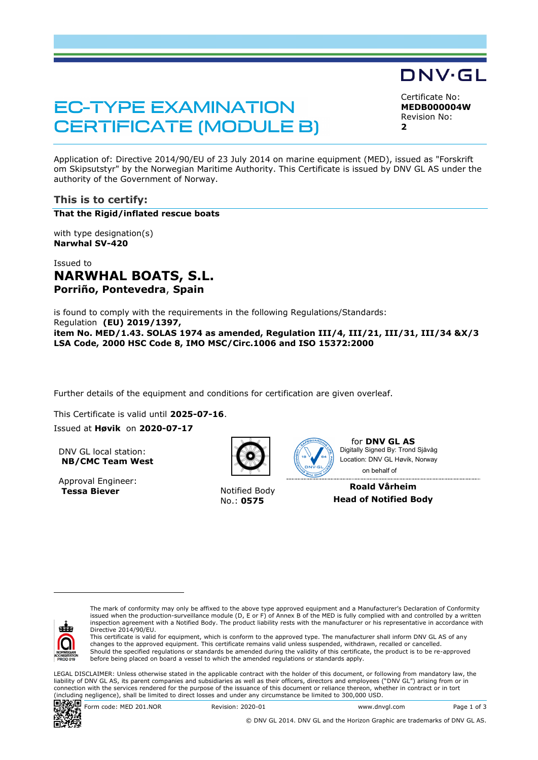# **EC-TYPE EXAMINATION CERTIFICATE (MODULE B)**

DNV·GL

Certificate No: **MEDB000004W** Revision No: **2**

Application of: Directive 2014/90/EU of 23 July 2014 on marine equipment (MED), issued as "Forskrift om Skipsutstyr" by the Norwegian Maritime Authority. This Certificate is issued by DNV GL AS under the authority of the Government of Norway.

## **This is to certify:**

**That the Rigid/inflated rescue boats**

with type designation(s) **Narwhal SV-420**

Issued to **NARWHAL BOATS, S.L. Porriño, Pontevedra**, **Spain**

is found to comply with the requirements in the following Regulations/Standards: Regulation **(EU) 2019/1397, item No. MED/1.43. SOLAS 1974 as amended, Regulation III/4, III/21, III/31, III/34 &X/3 LSA Code, 2000 HSC Code 8, IMO MSC/Circ.1006 and ISO 15372:2000**

Further details of the equipment and conditions for certification are given overleaf.

This Certificate is valid until **2025-07-16**. Issued at **Høvik** on **2020-07-17**

DNV GL local station: **NB/CMC Team West**

Approval Engineer: **Tessa Biever** Notified Body



No.: **0575**



for **DNV GL AS** on behalf ofDigitally Signed By: Trond Sjåvåg Location: DNV GL Høvik, Norway

**Roald Vårheim Head of Notified Body**



The mark of conformity may only be affixed to the above type approved equipment and a Manufacturer's Declaration of Conformity issued when the production-surveillance module (D, E or F) of Annex B of the MED is fully complied with and controlled by a written inspection agreement with a Notified Body. The product liability rests with the manufacturer or his representative in accordance with Directive 2014/90/EU.

This certificate is valid for equipment, which is conform to the approved type. The manufacturer shall inform DNV GL AS of any changes to the approved equipment. This certificate remains valid unless suspended, withdrawn, recalled or cancelled.<br>Should the specified regulations or standards be amended during the validity of this certificate, the pr before being placed on board a vessel to which the amended regulations or standards apply.

LEGAL DISCLAIMER: Unless otherwise stated in the applicable contract with the holder of this document, or following from mandatory law, the liability of DNV GL AS, its parent companies and subsidiaries as well as their officers, directors and employees ("DNV GL") arising from or in connection with the services rendered for the purpose of the issuance of this document or reliance thereon, whether in contract or in tort (including negligence), shall be limited to direct losses and under any circumstance be limited to 300,000 USD.



 $\begin{array}{r} \n\boxed{36} \\
\hline\n\end{array}$  Form code: MED 201.NOR Revision: 2020-01 www.dnvgl.com Page 1 of 3

© DNV GL 2014. DNV GL and the Horizon Graphic are trademarks of DNV GL AS.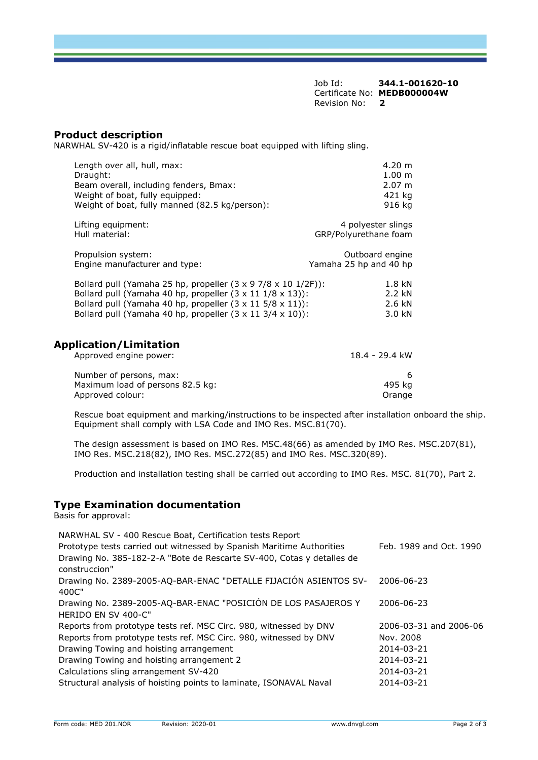Job Id: **344.1-001620-10** Certificate No: **MEDB000004W** Revision No: **2**

## **Product description**

NARWHAL SV-420 is a rigid/inflatable rescue boat equipped with lifting sling.

| Length over all, hull, max:                    | $4.20 \; \mathrm{m}$ |
|------------------------------------------------|----------------------|
| Draught:                                       | $1.00 \text{ m}$     |
| Beam overall, including fenders, Bmax:         | $2.07 \text{ m}$     |
| Weight of boat, fully equipped:                | 421 kg               |
| Weight of boat, fully manned (82.5 kg/person): | 916 ka               |

Lifting equipment:  $\begin{array}{ccc}\n & 4 \text{ polyester slings} \\
\text{Hull material:} & & 4 \text{ polyester slings}\n\end{array}$ GRP/Polyurethane foam

| Propulsion system:                                                          | Outboard engine        |
|-----------------------------------------------------------------------------|------------------------|
| Engine manufacturer and type:                                               | Yamaha 25 hp and 40 hp |
| Bollard pull (Vamaba 35 bp. propoller (3 $\times$ 0.7/8 $\times$ 10.1/35)). | 10 I.N                 |

| $1.8$ KN |
|----------|
| 2.2 kN   |
| 2.6 kN   |
| 3.0 kN   |
|          |

## **Application/Limitation**

| Approved engine power:           | 18.4 - 29.4 kW |
|----------------------------------|----------------|
| Number of persons, max:          |                |
| Maximum load of persons 82.5 kg: | 495 ka         |
| Approved colour:                 | Orange         |

Rescue boat equipment and marking/instructions to be inspected after installation onboard the ship. Equipment shall comply with LSA Code and IMO Res. MSC.81(70).

The design assessment is based on IMO Res. MSC.48(66) as amended by IMO Res. MSC.207(81), IMO Res. MSC.218(82), IMO Res. MSC.272(85) and IMO Res. MSC.320(89).

Production and installation testing shall be carried out according to IMO Res. MSC. 81(70), Part 2.

## **Type Examination documentation**

Basis for approval:

| Feb. 1989 and Oct. 1990 |
|-------------------------|
|                         |
| 2006-06-23              |
| 2006-06-23              |
| 2006-03-31 and 2006-06  |
| Nov. 2008               |
| 2014-03-21              |
| 2014-03-21              |
| 2014-03-21              |
| 2014-03-21              |
|                         |